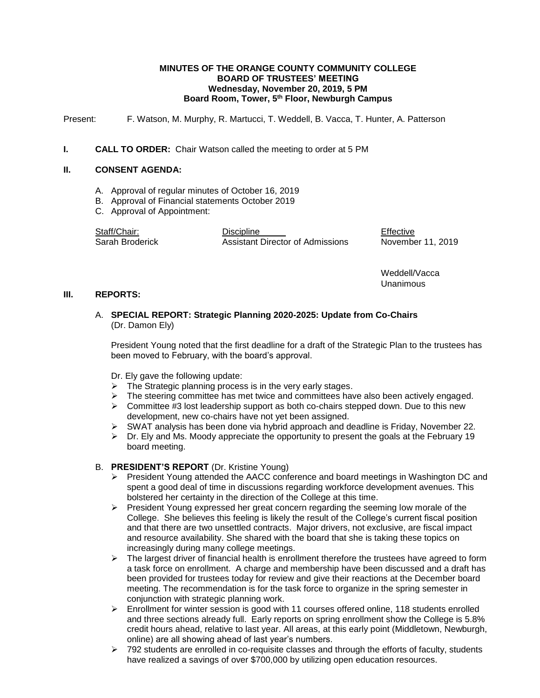### **MINUTES OF THE ORANGE COUNTY COMMUNITY COLLEGE BOARD OF TRUSTEES' MEETING Wednesday, November 20, 2019, 5 PM Board Room, Tower, 5th Floor, Newburgh Campus**

Present: F. Watson, M. Murphy, R. Martucci, T. Weddell, B. Vacca, T. Hunter, A. Patterson

### **I. CALL TO ORDER:** Chair Watson called the meeting to order at 5 PM

### **II. CONSENT AGENDA:**

- A. Approval of regular minutes of October 16, 2019
- B. Approval of Financial statements October 2019
- C. Approval of Appointment:

Staff/Chair: Discipline Discipline Effective Sarah Broderick Assistant Director of Admissions November 11, 2019

Weddell/Vacca Unanimous

#### **III. REPORTS:**

# A. **SPECIAL REPORT: Strategic Planning 2020-2025: Update from Co-Chairs** (Dr. Damon Ely)

President Young noted that the first deadline for a draft of the Strategic Plan to the trustees has been moved to February, with the board's approval.

Dr. Ely gave the following update:

- $\triangleright$  The Strategic planning process is in the very early stages.
- $\triangleright$  The steering committee has met twice and committees have also been actively engaged.
- $\triangleright$  Committee #3 lost leadership support as both co-chairs stepped down. Due to this new development, new co-chairs have not yet been assigned.
- $\triangleright$  SWAT analysis has been done via hybrid approach and deadline is Friday, November 22.
- $\triangleright$  Dr. Ely and Ms. Moody appreciate the opportunity to present the goals at the February 19 board meeting.

# B. **PRESIDENT'S REPORT** (Dr. Kristine Young)

- $\triangleright$  President Young attended the AACC conference and board meetings in Washington DC and spent a good deal of time in discussions regarding workforce development avenues. This bolstered her certainty in the direction of the College at this time.
- $\triangleright$  President Young expressed her great concern regarding the seeming low morale of the College. She believes this feeling is likely the result of the College's current fiscal position and that there are two unsettled contracts. Major drivers, not exclusive, are fiscal impact and resource availability. She shared with the board that she is taking these topics on increasingly during many college meetings.
- $\triangleright$  The largest driver of financial health is enrollment therefore the trustees have agreed to form a task force on enrollment. A charge and membership have been discussed and a draft has been provided for trustees today for review and give their reactions at the December board meeting. The recommendation is for the task force to organize in the spring semester in conjunction with strategic planning work.
- $\triangleright$  Enrollment for winter session is good with 11 courses offered online, 118 students enrolled and three sections already full. Early reports on spring enrollment show the College is 5.8% credit hours ahead, relative to last year. All areas, at this early point (Middletown, Newburgh, online) are all showing ahead of last year's numbers.
- $\triangleright$  792 students are enrolled in co-requisite classes and through the efforts of faculty, students have realized a savings of over \$700,000 by utilizing open education resources.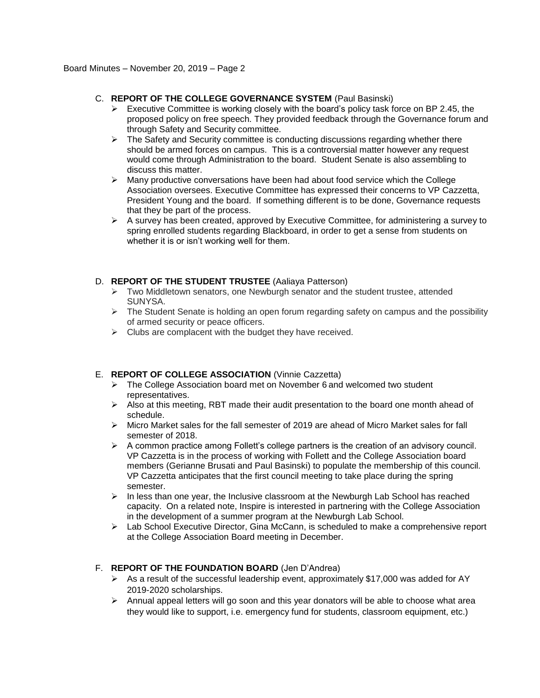# C. **REPORT OF THE COLLEGE GOVERNANCE SYSTEM** (Paul Basinski)

- $\triangleright$  Executive Committee is working closely with the board's policy task force on BP 2.45, the proposed policy on free speech. They provided feedback through the Governance forum and through Safety and Security committee.
- $\triangleright$  The Safety and Security committee is conducting discussions regarding whether there should be armed forces on campus. This is a controversial matter however any request would come through Administration to the board. Student Senate is also assembling to discuss this matter.
- $\triangleright$  Many productive conversations have been had about food service which the College Association oversees. Executive Committee has expressed their concerns to VP Cazzetta, President Young and the board. If something different is to be done, Governance requests that they be part of the process.
- $\triangleright$  A survey has been created, approved by Executive Committee, for administering a survey to spring enrolled students regarding Blackboard, in order to get a sense from students on whether it is or isn't working well for them.

# D. **REPORT OF THE STUDENT TRUSTEE** (Aaliaya Patterson)

- $\triangleright$  Two Middletown senators, one Newburgh senator and the student trustee, attended SUNYSA.
- $\triangleright$  The Student Senate is holding an open forum regarding safety on campus and the possibility of armed security or peace officers.
- $\triangleright$  Clubs are complacent with the budget they have received.

# E. **REPORT OF COLLEGE ASSOCIATION** (Vinnie Cazzetta)

- $\triangleright$  The College Association board met on November 6 and welcomed two student representatives.
- $\triangleright$  Also at this meeting, RBT made their audit presentation to the board one month ahead of schedule.
- Micro Market sales for the fall semester of 2019 are ahead of Micro Market sales for fall semester of 2018.
- $\triangleright$  A common practice among Follett's college partners is the creation of an advisory council. VP Cazzetta is in the process of working with Follett and the College Association board members (Gerianne Brusati and Paul Basinski) to populate the membership of this council. VP Cazzetta anticipates that the first council meeting to take place during the spring semester.
- $\triangleright$  In less than one year, the Inclusive classroom at the Newburgh Lab School has reached capacity. On a related note, Inspire is interested in partnering with the College Association in the development of a summer program at the Newburgh Lab School.
- $\triangleright$  Lab School Executive Director, Gina McCann, is scheduled to make a comprehensive report at the College Association Board meeting in December.

# F. **REPORT OF THE FOUNDATION BOARD** (Jen D'Andrea)

- $\triangleright$  As a result of the successful leadership event, approximately \$17,000 was added for AY 2019-2020 scholarships.
- $\triangleright$  Annual appeal letters will go soon and this year donators will be able to choose what area they would like to support, i.e. emergency fund for students, classroom equipment, etc.)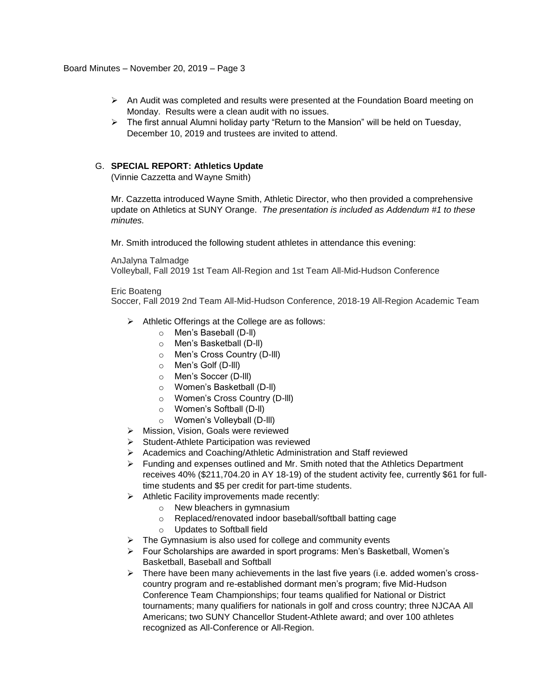- An Audit was completed and results were presented at the Foundation Board meeting on Monday. Results were a clean audit with no issues.
- $\triangleright$  The first annual Alumni holiday party "Return to the Mansion" will be held on Tuesday, December 10, 2019 and trustees are invited to attend.

## G. **SPECIAL REPORT: Athletics Update**

(Vinnie Cazzetta and Wayne Smith)

Mr. Cazzetta introduced Wayne Smith, Athletic Director, who then provided a comprehensive update on Athletics at SUNY Orange. *The presentation is included as Addendum #1 to these minutes.*

Mr. Smith introduced the following student athletes in attendance this evening:

AnJalyna Talmadge Volleyball, Fall 2019 1st Team All-Region and 1st Team All-Mid-Hudson Conference

#### Eric Boateng

Soccer, Fall 2019 2nd Team All-Mid-Hudson Conference, 2018-19 All-Region Academic Team

- $\triangleright$  Athletic Offerings at the College are as follows:
	- o Men's Baseball (D-ll)
	- o Men's Basketball (D-ll)
	- o Men's Cross Country (D-lll)
	- o Men's Golf (D-lll)
	- o Men's Soccer (D-lll)
	- o Women's Basketball (D-ll)
	- o Women's Cross Country (D-lll)
	- o Women's Softball (D-ll)
	- o Women's Volleyball (D-lll)
- > Mission, Vision, Goals were reviewed
- $\triangleright$  Student-Athlete Participation was reviewed
- Academics and Coaching/Athletic Administration and Staff reviewed
- $\triangleright$  Funding and expenses outlined and Mr. Smith noted that the Athletics Department receives 40% (\$211,704.20 in AY 18-19) of the student activity fee, currently \$61 for fulltime students and \$5 per credit for part-time students.
- $\triangleright$  Athletic Facility improvements made recently:
	- o New bleachers in gymnasium
	- o Replaced/renovated indoor baseball/softball batting cage
	- o Updates to Softball field
- $\triangleright$  The Gymnasium is also used for college and community events
- Four Scholarships are awarded in sport programs: Men's Basketball, Women's Basketball, Baseball and Softball
- $\triangleright$  There have been many achievements in the last five years (i.e. added women's crosscountry program and re-established dormant men's program; five Mid-Hudson Conference Team Championships; four teams qualified for National or District tournaments; many qualifiers for nationals in golf and cross country; three NJCAA All Americans; two SUNY Chancellor Student-Athlete award; and over 100 athletes recognized as All-Conference or All-Region.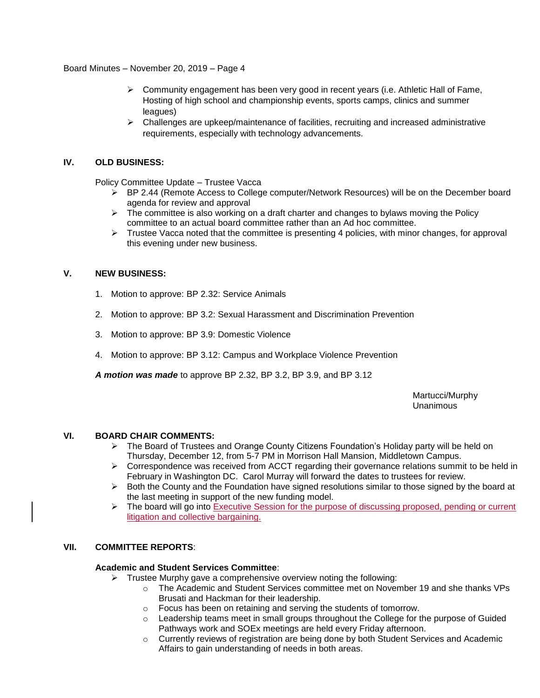Board Minutes – November 20, 2019 – Page 4

- $\triangleright$  Community engagement has been very good in recent years (i.e. Athletic Hall of Fame, Hosting of high school and championship events, sports camps, clinics and summer leagues)
- $\triangleright$  Challenges are upkeep/maintenance of facilities, recruiting and increased administrative requirements, especially with technology advancements.

## **IV. OLD BUSINESS:**

Policy Committee Update – Trustee Vacca

- ▶ BP 2.44 (Remote Access to College computer/Network Resources) will be on the December board agenda for review and approval
- $\triangleright$  The committee is also working on a draft charter and changes to bylaws moving the Policy committee to an actual board committee rather than an Ad hoc committee.
- $\triangleright$  Trustee Vacca noted that the committee is presenting 4 policies, with minor changes, for approval this evening under new business.

# **V. NEW BUSINESS:**

- 1. Motion to approve: BP 2.32: Service Animals
- 2. Motion to approve: BP 3.2: Sexual Harassment and Discrimination Prevention
- 3. Motion to approve: BP 3.9: Domestic Violence
- 4. Motion to approve: BP 3.12: Campus and Workplace Violence Prevention

*A motion was made* to approve BP 2.32, BP 3.2, BP 3.9, and BP 3.12

Martucci/Murphy Unanimous

## **VI. BOARD CHAIR COMMENTS:**

- $\triangleright$  The Board of Trustees and Orange County Citizens Foundation's Holiday party will be held on Thursday, December 12, from 5-7 PM in Morrison Hall Mansion, Middletown Campus.
- $\triangleright$  Correspondence was received from ACCT regarding their governance relations summit to be held in February in Washington DC. Carol Murray will forward the dates to trustees for review.
- $\triangleright$  Both the County and the Foundation have signed resolutions similar to those signed by the board at the last meeting in support of the new funding model.
- $\triangleright$  The board will go into Executive Session for the purpose of discussing proposed, pending or current litigation and collective bargaining.

# **VII. COMMITTEE REPORTS**:

## **Academic and Student Services Committee**:

- $\triangleright$  Trustee Murphy gave a comprehensive overview noting the following:
	- o The Academic and Student Services committee met on November 19 and she thanks VPs Brusati and Hackman for their leadership.
	- o Focus has been on retaining and serving the students of tomorrow.
	- o Leadership teams meet in small groups throughout the College for the purpose of Guided Pathways work and SOEx meetings are held every Friday afternoon.
	- o Currently reviews of registration are being done by both Student Services and Academic Affairs to gain understanding of needs in both areas.